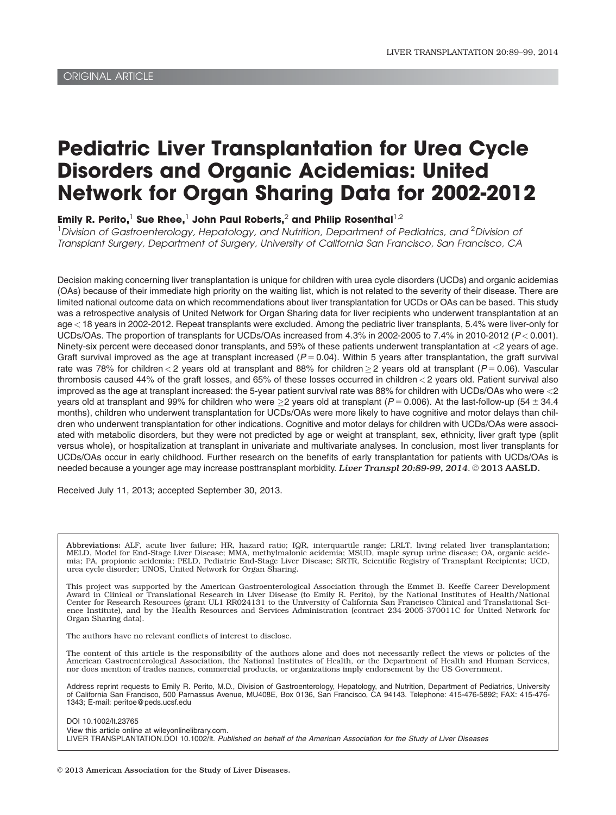# Pediatric Liver Transplantation for Urea Cycle Disorders and Organic Acidemias: United Network for Organ Sharing Data for 2002-2012

Emily R. Perito,<sup>1</sup> Sue Rhee,<sup>1</sup> John Paul Roberts,<sup>2</sup> and Philip Rosenthal<sup>1,2</sup>

 $^{\text{1}}$ Division of Gastroenterology, Hepatology, and Nutrition, Department of Pediatrics, and  $^{\text{2}}$ Division ot Transplant Surgery, Department of Surgery, University of California San Francisco, San Francisco, CA

Decision making concerning liver transplantation is unique for children with urea cycle disorders (UCDs) and organic acidemias (OAs) because of their immediate high priority on the waiting list, which is not related to the severity of their disease. There are limited national outcome data on which recommendations about liver transplantation for UCDs or OAs can be based. This study was a retrospective analysis of United Network for Organ Sharing data for liver recipients who underwent transplantation at an age < 18 years in 2002-2012. Repeat transplants were excluded. Among the pediatric liver transplants, 5.4% were liver-only for UCDs/OAs. The proportion of transplants for UCDs/OAs increased from  $4.3\%$  in 2002-2005 to  $7.4\%$  in 2010-2012 ( $P < 0.001$ ). Ninety-six percent were deceased donor transplants, and 59% of these patients underwent transplantation at <2 years of age. Graft survival improved as the age at transplant increased ( $P = 0.04$ ). Within 5 years after transplantation, the graft survival rate was 78% for children $<$  2 years old at transplant and 88% for children $\geq$  2 years old at transplant (P=0.06). Vascular thrombosis caused 44% of the graft losses, and 65% of these losses occurred in children < 2 years old. Patient survival also improved as the age at transplant increased: the 5-year patient survival rate was 88% for children with UCDs/OAs who were <2 years old at transplant and 99% for children who were  $\geq$ 2 years old at transplant (P= 0.006). At the last-follow-up (54  $\pm$  34.4 months), children who underwent transplantation for UCDs/OAs were more likely to have cognitive and motor delays than children who underwent transplantation for other indications. Cognitive and motor delays for children with UCDs/OAs were associated with metabolic disorders, but they were not predicted by age or weight at transplant, sex, ethnicity, liver graft type (split versus whole), or hospitalization at transplant in univariate and multivariate analyses. In conclusion, most liver transplants for UCDs/OAs occur in early childhood. Further research on the benefits of early transplantation for patients with UCDs/OAs is needed because a younger age may increase posttransplant morbidity. Liver Transpl 20:89-99, 2014. @ 2013 AASLD.

Received July 11, 2013; accepted September 30, 2013.

Abbreviations: ALF, acute liver failure; HR, hazard ratio; IQR, interquartile range; LRLT, living related liver transplantation; MELD, Model for End-Stage Liver Disease; MMA, methylmalonic acidemia; MSUD, maple syrup urine disease; OA, organic acide-<br>mia; PA, propionic acidemia; PELD, Pediatric End-Stage Liver Disease; SRTR, Scientific Registry of T urea cycle disorder; UNOS, United Network for Organ Sharing.

This project was supported by the American Gastroenterological Association through the Emmet B. Keeffe Career Development Award in Clinical or Translational Research in Liver Disease (to Emily R. Perito), by the National Institutes of Health/National Center for Research Resources (grant UL1 RR024131 to the University of California San Francisco Clinical and Translational Science Institute), and by the Health Resources and Services Administration (contract 234-2005-370011C for United Network for Organ Sharing data).

The authors have no relevant conflicts of interest to disclose.

The content of this article is the responsibility of the authors alone and does not necessarily reflect the views or policies of the American Gastroenterological Association, the National Institutes of Health, or the Department of Health and Human Services,<br>nor does mention of trades names, commercial products, or organizations imply endorsement by the

Address reprint requests to Emily R. Perito, M.D., Division of Gastroenterology, Hepatology, and Nutrition, Department of Pediatrics, University of California San Francisco, 500 Parnassus Avenue, MU408E, Box 0136, San Francisco, CA 94143. Telephone: 415-476-5892; FAX: 415-476- 1343; E-mail: peritoe@peds.ucsf.edu

DOI 10.1002/lt.23765

View this article online at wileyonlinelibrary.com.

LIVER TRANSPLANTATION.DOI 10.1002/lt. Published on behalf of the American Association for the Study of Liver Diseases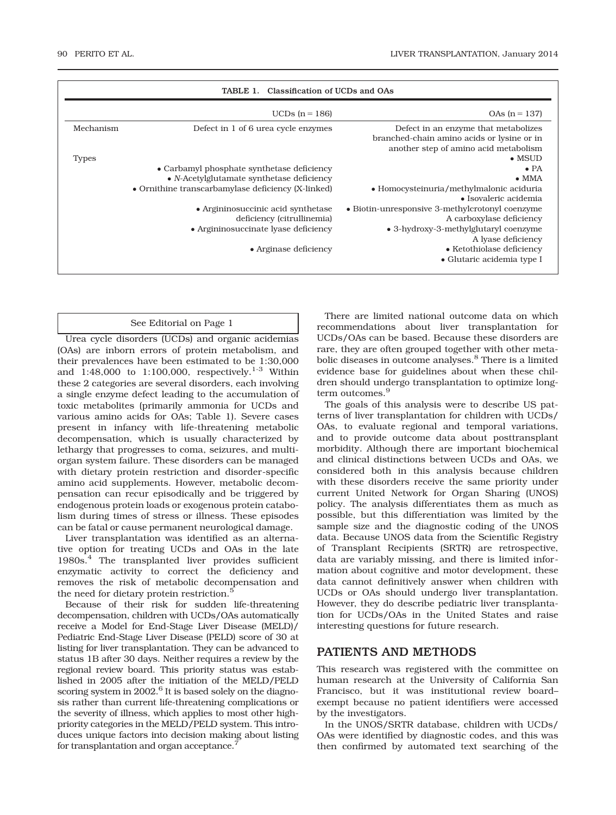| Classification of UCDs and OAs<br>TABLE 1. |                                                    |                                                                                                                             |  |  |
|--------------------------------------------|----------------------------------------------------|-----------------------------------------------------------------------------------------------------------------------------|--|--|
|                                            | UCDs $(n = 186)$                                   | $OAs (n = 137)$                                                                                                             |  |  |
| Mechanism                                  | Defect in 1 of 6 urea cycle enzymes                | Defect in an enzyme that metabolizes<br>branched-chain amino acids or lysine or in<br>another step of amino acid metabolism |  |  |
| <b>Types</b>                               |                                                    | $\bullet$ MSUD                                                                                                              |  |  |
|                                            | • Carbamyl phosphate synthetase deficiency         | $\bullet$ PA                                                                                                                |  |  |
|                                            | • $N$ -Acetylglutamate synthetase deficiency       | $\bullet$ MMA                                                                                                               |  |  |
|                                            | • Ornithine transcarbamylase deficiency (X-linked) | • Homocysteinuria/methylmalonic aciduria<br>$\bullet$ Isovaleric acidemia                                                   |  |  |
|                                            | • Argininosuccinic acid synthetase                 | • Biotin-unresponsive 3-methylcrotonyl coenzyme                                                                             |  |  |
|                                            | deficiency (citrullinemia)                         | A carboxylase deficiency                                                                                                    |  |  |
|                                            | • Argininosuccinate lyase deficiency               | • 3-hydroxy-3-methylglutaryl coenzyme<br>A lyase deficiency                                                                 |  |  |
|                                            | $\bullet$ Arginase deficiency                      | • Ketothiolase deficiency<br>• Glutaric acidemia type I                                                                     |  |  |
|                                            |                                                    |                                                                                                                             |  |  |

#### See Editorial on Page 1

Urea cycle disorders (UCDs) and organic acidemias (OAs) are inborn errors of protein metabolism, and their prevalences have been estimated to be 1:30,000 and  $1:48,000$  to  $1:100,000$ , respectively.<sup>1-3</sup> Within these 2 categories are several disorders, each involving a single enzyme defect leading to the accumulation of toxic metabolites (primarily ammonia for UCDs and various amino acids for OAs; Table 1). Severe cases present in infancy with life-threatening metabolic decompensation, which is usually characterized by lethargy that progresses to coma, seizures, and multiorgan system failure. These disorders can be managed with dietary protein restriction and disorder-specific amino acid supplements. However, metabolic decompensation can recur episodically and be triggered by endogenous protein loads or exogenous protein catabolism during times of stress or illness. These episodes can be fatal or cause permanent neurological damage.

Liver transplantation was identified as an alternative option for treating UCDs and OAs in the late 1980s.<sup>4</sup> The transplanted liver provides sufficient enzymatic activity to correct the deficiency and removes the risk of metabolic decompensation and the need for dietary protein restriction.<sup>5</sup>

Because of their risk for sudden life-threatening decompensation, children with UCDs/OAs automatically receive a Model for End-Stage Liver Disease (MELD)/ Pediatric End-Stage Liver Disease (PELD) score of 30 at listing for liver transplantation. They can be advanced to status 1B after 30 days. Neither requires a review by the regional review board. This priority status was established in 2005 after the initiation of the MELD/PELD scoring system in 2002.<sup>6</sup> It is based solely on the diagnosis rather than current life-threatening complications or the severity of illness, which applies to most other highpriority categories in the MELD/PELD system. This introduces unique factors into decision making about listing for transplantation and organ acceptance.<sup>7</sup>

There are limited national outcome data on which recommendations about liver transplantation for UCDs/OAs can be based. Because these disorders are rare, they are often grouped together with other metabolic diseases in outcome analyses.<sup>8</sup> There is a limited evidence base for guidelines about when these children should undergo transplantation to optimize longterm outcomes.<sup>9</sup>

The goals of this analysis were to describe US patterns of liver transplantation for children with UCDs/ OAs, to evaluate regional and temporal variations, and to provide outcome data about posttransplant morbidity. Although there are important biochemical and clinical distinctions between UCDs and OAs, we considered both in this analysis because children with these disorders receive the same priority under current United Network for Organ Sharing (UNOS) policy. The analysis differentiates them as much as possible, but this differentiation was limited by the sample size and the diagnostic coding of the UNOS data. Because UNOS data from the Scientific Registry of Transplant Recipients (SRTR) are retrospective, data are variably missing, and there is limited information about cognitive and motor development, these data cannot definitively answer when children with UCDs or OAs should undergo liver transplantation. However, they do describe pediatric liver transplantation for UCDs/OAs in the United States and raise interesting questions for future research.

#### PATIENTS AND METHODS

This research was registered with the committee on human research at the University of California San Francisco, but it was institutional review board– exempt because no patient identifiers were accessed by the investigators.

In the UNOS/SRTR database, children with UCDs/ OAs were identified by diagnostic codes, and this was then confirmed by automated text searching of the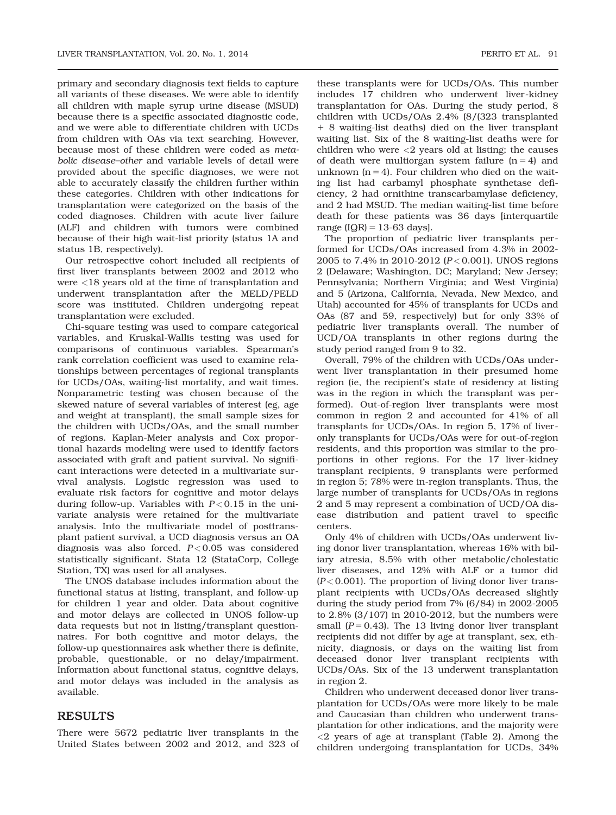primary and secondary diagnosis text fields to capture all variants of these diseases. We were able to identify all children with maple syrup urine disease (MSUD) because there is a specific associated diagnostic code, and we were able to differentiate children with UCDs from children with OAs via text searching. However, because most of these children were coded as metabolic disease–other and variable levels of detail were provided about the specific diagnoses, we were not able to accurately classify the children further within these categories. Children with other indications for transplantation were categorized on the basis of the coded diagnoses. Children with acute liver failure (ALF) and children with tumors were combined because of their high wait-list priority (status 1A and status 1B, respectively).

Our retrospective cohort included all recipients of first liver transplants between 2002 and 2012 who were <18 years old at the time of transplantation and underwent transplantation after the MELD/PELD score was instituted. Children undergoing repeat transplantation were excluded.

Chi-square testing was used to compare categorical variables, and Kruskal-Wallis testing was used for comparisons of continuous variables. Spearman's rank correlation coefficient was used to examine relationships between percentages of regional transplants for UCDs/OAs, waiting-list mortality, and wait times. Nonparametric testing was chosen because of the skewed nature of several variables of interest (eg, age and weight at transplant), the small sample sizes for the children with UCDs/OAs, and the small number of regions. Kaplan-Meier analysis and Cox proportional hazards modeling were used to identify factors associated with graft and patient survival. No significant interactions were detected in a multivariate survival analysis. Logistic regression was used to evaluate risk factors for cognitive and motor delays during follow-up. Variables with  $P < 0.15$  in the univariate analysis were retained for the multivariate analysis. Into the multivariate model of posttransplant patient survival, a UCD diagnosis versus an OA diagnosis was also forced.  $P < 0.05$  was considered statistically significant. Stata 12 (StataCorp, College Station, TX) was used for all analyses.

The UNOS database includes information about the functional status at listing, transplant, and follow-up for children 1 year and older. Data about cognitive and motor delays are collected in UNOS follow-up data requests but not in listing/transplant questionnaires. For both cognitive and motor delays, the follow-up questionnaires ask whether there is definite, probable, questionable, or no delay/impairment. Information about functional status, cognitive delays, and motor delays was included in the analysis as available.

## RESULTS

There were 5672 pediatric liver transplants in the United States between 2002 and 2012, and 323 of these transplants were for UCDs/OAs. This number includes 17 children who underwent liver-kidney transplantation for OAs. During the study period, 8 children with UCDs/OAs 2.4% (8/(323 transplanted 1 8 waiting-list deaths) died on the liver transplant waiting list. Six of the 8 waiting-list deaths were for children who were  $\langle 2 \rangle$  years old at listing; the causes of death were multiorgan system failure  $(n = 4)$  and unknown  $(n = 4)$ . Four children who died on the waiting list had carbamyl phosphate synthetase deficiency, 2 had ornithine transcarbamylase deficiency, and 2 had MSUD. The median waiting-list time before death for these patients was 36 days [interquartile range  $[IQR] = 13-63$  days].

The proportion of pediatric liver transplants performed for UCDs/OAs increased from 4.3% in 2002- 2005 to 7.4% in 2010-2012 ( $P < 0.001$ ). UNOS regions 2 (Delaware; Washington, DC; Maryland; New Jersey; Pennsylvania; Northern Virginia; and West Virginia) and 5 (Arizona, California, Nevada, New Mexico, and Utah) accounted for 45% of transplants for UCDs and OAs (87 and 59, respectively) but for only 33% of pediatric liver transplants overall. The number of UCD/OA transplants in other regions during the study period ranged from 9 to 32.

Overall, 79% of the children with UCDs/OAs underwent liver transplantation in their presumed home region (ie, the recipient's state of residency at listing was in the region in which the transplant was performed). Out-of-region liver transplants were most common in region 2 and accounted for 41% of all transplants for UCDs/OAs. In region 5, 17% of liveronly transplants for UCDs/OAs were for out-of-region residents, and this proportion was similar to the proportions in other regions. For the 17 liver-kidney transplant recipients, 9 transplants were performed in region 5; 78% were in-region transplants. Thus, the large number of transplants for UCDs/OAs in regions 2 and 5 may represent a combination of UCD/OA disease distribution and patient travel to specific centers.

Only 4% of children with UCDs/OAs underwent living donor liver transplantation, whereas 16% with biliary atresia, 8.5% with other metabolic/cholestatic liver diseases, and 12% with ALF or a tumor did  $(P<0.001)$ . The proportion of living donor liver transplant recipients with UCDs/OAs decreased slightly during the study period from 7% (6/84) in 2002-2005 to 2.8% (3/107) in 2010-2012, but the numbers were small ( $P = 0.43$ ). The 13 living donor liver transplant recipients did not differ by age at transplant, sex, ethnicity, diagnosis, or days on the waiting list from deceased donor liver transplant recipients with UCDs/OAs. Six of the 13 underwent transplantation in region 2.

Children who underwent deceased donor liver transplantation for UCDs/OAs were more likely to be male and Caucasian than children who underwent transplantation for other indications, and the majority were <2 years of age at transplant (Table 2). Among the children undergoing transplantation for UCDs, 34%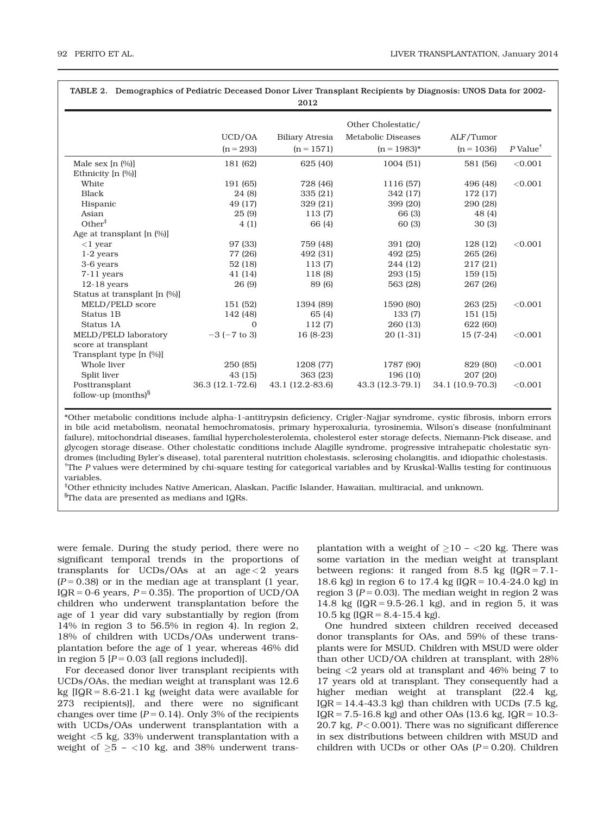| TABLE 2. Demographics of Pediatric Deceased Donor Liver Transplant Recipients by Diagnosis: UNOS Data for 2002-<br>2012 |                    |                        |                           |                  |                        |  |
|-------------------------------------------------------------------------------------------------------------------------|--------------------|------------------------|---------------------------|------------------|------------------------|--|
|                                                                                                                         | Other Cholestatic/ |                        |                           |                  |                        |  |
|                                                                                                                         | UCD/OA             | <b>Biliary Atresia</b> | <b>Metabolic Diseases</b> | ALF/Tumor        |                        |  |
|                                                                                                                         | $(n = 293)$        | $(n = 1571)$           | $(n = 1983)^*$            | $(n = 1036)$     | $P$ Value <sup>†</sup> |  |
| Male sex $[n (%)]$                                                                                                      | 181 (62)           | 625 (40)               | 1004(51)                  | 581 (56)         | < 0.001                |  |
| Ethnicity [n (%)]                                                                                                       |                    |                        |                           |                  |                        |  |
| White                                                                                                                   | 191 (65)           | 728 (46)               | 1116 (57)                 | 496 (48)         | < 0.001                |  |
| <b>Black</b>                                                                                                            | 24 (8)             | 335 (21)               | 342 (17)                  | 172 (17)         |                        |  |
| Hispanic                                                                                                                | 49 (17)            | 329 (21)               | 399 (20)                  | 290 (28)         |                        |  |
| Asian                                                                                                                   | 25(9)              | 113(7)                 | 66 (3)                    | 48 (4)           |                        |  |
| Other <sup>‡</sup>                                                                                                      | 4(1)               | 66 (4)                 | 60 (3)                    | 30(3)            |                        |  |
| Age at transplant $[n (%)]$                                                                                             |                    |                        |                           |                  |                        |  |
| $<$ 1 year                                                                                                              | 97 (33)            | 759 (48)               | 391 (20)                  | 128 (12)         | < 0.001                |  |
| $1-2$ years                                                                                                             | 77 (26)            | 492 (31)               | 492 (25)                  | 265 (26)         |                        |  |
| 3-6 years                                                                                                               | 52(18)             | 113(7)                 | 244 (12)                  | 217(21)          |                        |  |
| $7-11$ years                                                                                                            | 41 (14)            | 118 (8)                | 293 (15)                  | 159 (15)         |                        |  |
| $12-18$ years                                                                                                           | 26 (9)             | 89 (6)                 | 563 (28)                  | 267 (26)         |                        |  |
| Status at transplant [n (%)]                                                                                            |                    |                        |                           |                  |                        |  |
| MELD/PELD score                                                                                                         | 151 (52)           | 1394 (89)              | 1590 (80)                 | 263 (25)         | < 0.001                |  |
| Status 1B                                                                                                               | 142 (48)           | 65 (4)                 | 133 (7)                   | 151 (15)         |                        |  |
| Status 1A                                                                                                               | $\Omega$           | 112(7)                 | 260 (13)                  | 622 (60)         |                        |  |
| MELD/PELD laboratory                                                                                                    | $-3$ ( $-7$ to 3)  | $16(8-23)$             | $20(1-31)$                | $15(7-24)$       | < 0.001                |  |
| score at transplant                                                                                                     |                    |                        |                           |                  |                        |  |
| Transplant type [n (%)]                                                                                                 |                    |                        |                           |                  |                        |  |
| Whole liver                                                                                                             | 250 (85)           | 1208 (77)              | 1787 (90)                 | 829 (80)         | < 0.001                |  |
| Split liver                                                                                                             | 43(15)             | 363 (23)               | 196 (10)                  | 207 (20)         |                        |  |
| Posttransplant<br>follow-up (months) $\frac{8}{3}$                                                                      | 36.3 (12.1-72.6)   | 43.1 (12.2-83.6)       | 43.3 (12.3-79.1)          | 34.1 (10.9-70.3) | < 0.001                |  |

\*Other metabolic conditions include alpha-1-antitrypsin deficiency, Crigler-Najjar syndrome, cystic fibrosis, inborn errors in bile acid metabolism, neonatal hemochromatosis, primary hyperoxaluria, tyrosinemia, Wilson's disease (nonfulminant failure), mitochondrial diseases, familial hypercholesterolemia, cholesterol ester storage defects, Niemann-Pick disease, and glycogen storage disease. Other cholestatic conditions include Alagille syndrome, progressive intrahepatic cholestatic syndromes (including Byler's disease), total parenteral nutrition cholestasis, sclerosing cholangitis, and idiopathic cholestasis. † The P values were determined by chi-square testing for categorical variables and by Kruskal-Wallis testing for continuous variables.

‡ Other ethnicity includes Native American, Alaskan, Pacific Islander, Hawaiian, multiracial, and unknown.  ${}^{8}$ The data are presented as medians and IQRs.

were female. During the study period, there were no significant temporal trends in the proportions of transplants for UCDs/OAs at an  $age < 2$  years  $(P = 0.38)$  or in the median age at transplant (1 year, IQR = 0-6 years,  $P = 0.35$ ). The proportion of UCD/OA children who underwent transplantation before the age of 1 year did vary substantially by region (from 14% in region 3 to 56.5% in region 4). In region 2, 18% of children with UCDs/OAs underwent transplantation before the age of 1 year, whereas 46% did in region 5  $[P = 0.03$  (all regions included)].

For deceased donor liver transplant recipients with UCDs/OAs, the median weight at transplant was 12.6 kg  $[IQR = 8.6-21.1$  kg (weight data were available for 273 recipients)], and there were no significant changes over time  $(P = 0.14)$ . Only 3% of the recipients with UCDs/OAs underwent transplantation with a weight <5 kg, 33% underwent transplantation with a weight of  $\geq 5$  – <10 kg, and 38% underwent trans-

plantation with a weight of  $\geq$ 10 – <20 kg. There was some variation in the median weight at transplant between regions: it ranged from 8.5 kg  $[IQR = 7.1-$ 18.6 kg) in region 6 to 17.4 kg ( $IQR = 10.4-24.0$  kg) in region 3 ( $P = 0.03$ ). The median weight in region 2 was 14.8 kg  $[IQR = 9.5-26.1$  kg), and in region 5, it was 10.5 kg ( $IQR = 8.4-15.4$  kg).

One hundred sixteen children received deceased donor transplants for OAs, and 59% of these transplants were for MSUD. Children with MSUD were older than other UCD/OA children at transplant, with 28% being <2 years old at transplant and 46% being 7 to 17 years old at transplant. They consequently had a higher median weight at transplant (22.4 kg,  $IQR = 14.4-43.3$  kg) than children with UCDs (7.5 kg,  $IQR = 7.5-16.8$  kg) and other OAs (13.6 kg,  $IQR = 10.3-$ 20.7 kg,  $P < 0.001$ ). There was no significant difference in sex distributions between children with MSUD and children with UCDs or other OAs  $(P= 0.20)$ . Children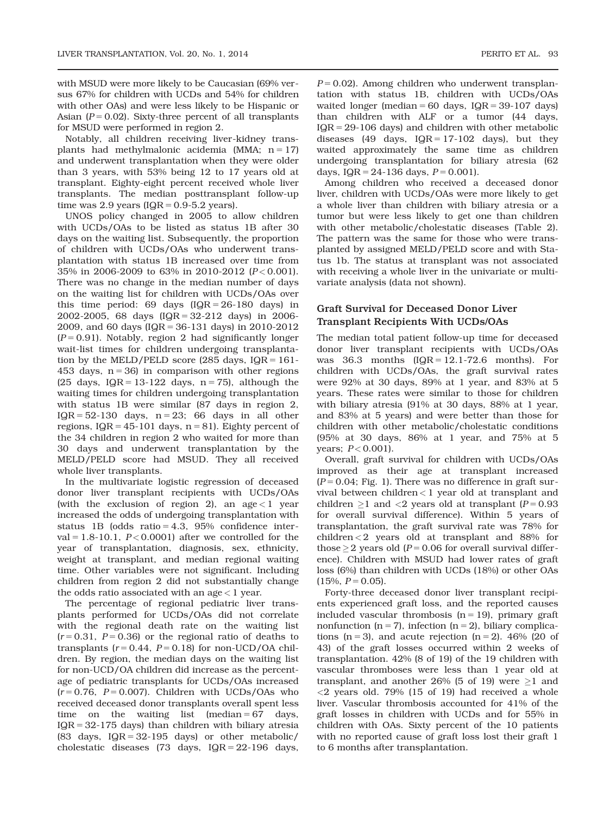with MSUD were more likely to be Caucasian (69% versus 67% for children with UCDs and 54% for children with other OAs) and were less likely to be Hispanic or Asian ( $P = 0.02$ ). Sixty-three percent of all transplants for MSUD were performed in region 2.

Notably, all children receiving liver-kidney transplants had methylmalonic acidemia (MMA;  $n = 17$ ) and underwent transplantation when they were older than 3 years, with 53% being 12 to 17 years old at transplant. Eighty-eight percent received whole liver transplants. The median posttransplant follow-up time was 2.9 years  $(IQR = 0.9-5.2 \text{ years}).$ 

UNOS policy changed in 2005 to allow children with UCDs/OAs to be listed as status 1B after 30 days on the waiting list. Subsequently, the proportion of children with UCDs/OAs who underwent transplantation with status 1B increased over time from 35% in 2006-2009 to 63% in 2010-2012 (P < 0.001). There was no change in the median number of days on the waiting list for children with UCDs/OAs over this time period: 69 days  $[IQR = 26-180$  days) in 2002-2005, 68 days  $(IQR = 32-212$  days) in 2006-2009, and 60 days (IQR = 36-131 days) in 2010-2012  $(P = 0.91)$ . Notably, region 2 had significantly longer wait-list times for children undergoing transplantation by the MELD/PELD score  $(285 \text{ days}, 1QR = 161 -$ 453 days,  $n = 36$ ) in comparison with other regions (25 days,  $IQR = 13-122$  days,  $n = 75$ ), although the waiting times for children undergoing transplantation with status 1B were similar (87 days in region 2,  $IQR = 52-130$  days,  $n = 23$ ; 66 days in all other regions,  $IQR = 45-101$  days,  $n = 81$ ). Eighty percent of the 34 children in region 2 who waited for more than 30 days and underwent transplantation by the MELD/PELD score had MSUD. They all received whole liver transplants.

In the multivariate logistic regression of deceased donor liver transplant recipients with UCDs/OAs (with the exclusion of region 2), an  $age < 1$  year increased the odds of undergoing transplantation with status 1B (odds ratio  $= 4.3$ , 95% confidence interval =  $1.8-10.1$ ,  $P < 0.0001$ ) after we controlled for the year of transplantation, diagnosis, sex, ethnicity, weight at transplant, and median regional waiting time. Other variables were not significant. Including children from region 2 did not substantially change the odds ratio associated with an  $age < 1$  year.

The percentage of regional pediatric liver transplants performed for UCDs/OAs did not correlate with the regional death rate on the waiting list  $(r = 0.31, P = 0.36)$  or the regional ratio of deaths to transplants ( $r = 0.44$ ,  $P = 0.18$ ) for non-UCD/OA children. By region, the median days on the waiting list for non-UCD/OA children did increase as the percentage of pediatric transplants for UCDs/OAs increased  $(r = 0.76, P = 0.007)$ . Children with UCDs/OAs who received deceased donor transplants overall spent less time on the waiting list (median  $= 67$  days,  $IQR = 32-175$  days) than children with biliary atresia (83 days,  $IQR = 32-195$  days) or other metabolic/ cholestatic diseases (73 days,  $IQR = 22-196$  days,

 $P = 0.02$ ). Among children who underwent transplantation with status 1B, children with UCDs/OAs waited longer (median = 60 days,  $IQR = 39-107$  days) than children with ALF or a tumor (44 days,  $IQR = 29-106$  days) and children with other metabolic diseases (49 days,  $IQR = 17-102$  days), but they waited approximately the same time as children undergoing transplantation for biliary atresia (62 days,  $IQR = 24-136$  days,  $P = 0.001$ ).

Among children who received a deceased donor liver, children with UCDs/OAs were more likely to get a whole liver than children with biliary atresia or a tumor but were less likely to get one than children with other metabolic/cholestatic diseases (Table 2). The pattern was the same for those who were transplanted by assigned MELD/PELD score and with Status 1b. The status at transplant was not associated with receiving a whole liver in the univariate or multivariate analysis (data not shown).

#### Graft Survival for Deceased Donor Liver Transplant Recipients With UCDs/OAs

The median total patient follow-up time for deceased donor liver transplant recipients with UCDs/OAs was  $36.3$  months  $[IQR = 12.1-72.6$  months). For children with UCDs/OAs, the graft survival rates were 92% at 30 days, 89% at 1 year, and 83% at 5 years. These rates were similar to those for children with biliary atresia (91% at 30 days, 88% at 1 year, and 83% at 5 years) and were better than those for children with other metabolic/cholestatic conditions (95% at 30 days, 86% at 1 year, and 75% at 5 years;  $P < 0.001$ ).

Overall, graft survival for children with UCDs/OAs improved as their age at transplant increased  $(P = 0.04;$  Fig. 1). There was no difference in graft survival between children < 1 year old at transplant and children  $\geq$ 1 and  $\lt$ 2 years old at transplant (P = 0.93 for overall survival difference). Within 5 years of transplantation, the graft survival rate was 78% for children < 2 years old at transplant and 88% for those  $\geq$  2 years old (P = 0.06 for overall survival difference). Children with MSUD had lower rates of graft loss (6%) than children with UCDs (18%) or other OAs  $(15\%, P = 0.05)$ .

Forty-three deceased donor liver transplant recipients experienced graft loss, and the reported causes included vascular thrombosis  $(n = 19)$ , primary graft nonfunction (n = 7), infection (n = 2), biliary complications ( $n = 3$ ), and acute rejection ( $n = 2$ ). 46% (20 of 43) of the graft losses occurred within 2 weeks of transplantation. 42% (8 of 19) of the 19 children with vascular thromboses were less than 1 year old at transplant, and another 26% (5 of 19) were  $\geq$ 1 and  $<$ 2 years old. 79% (15 of 19) had received a whole liver. Vascular thrombosis accounted for 41% of the graft losses in children with UCDs and for 55% in children with OAs. Sixty percent of the 10 patients with no reported cause of graft loss lost their graft 1 to 6 months after transplantation.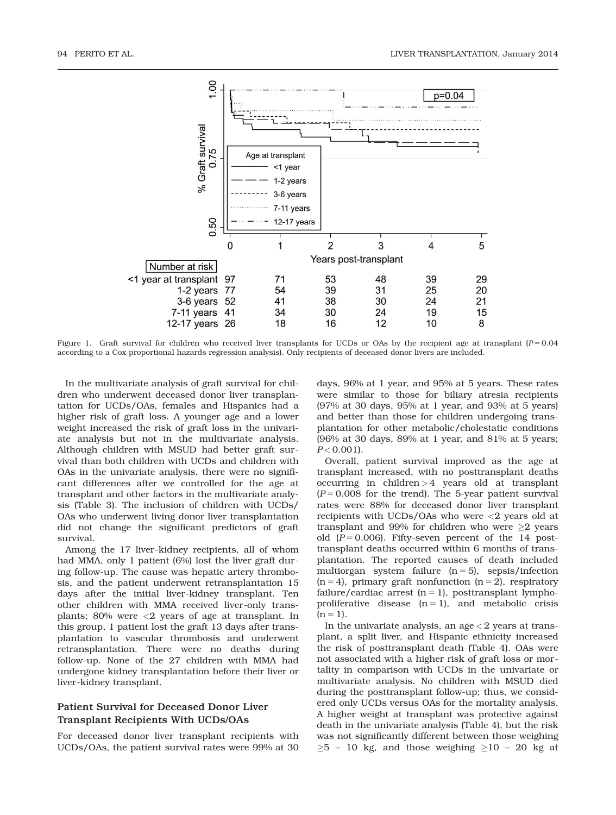

Figure 1. Graft survival for children who received liver transplants for UCDs or OAs by the recipient age at transplant  $(P = 0.04)$ according to a Cox proportional hazards regression analysis). Only recipients of deceased donor livers are included.

In the multivariate analysis of graft survival for children who underwent deceased donor liver transplantation for UCDs/OAs, females and Hispanics had a higher risk of graft loss. A younger age and a lower weight increased the risk of graft loss in the univariate analysis but not in the multivariate analysis. Although children with MSUD had better graft survival than both children with UCDs and children with OAs in the univariate analysis, there were no significant differences after we controlled for the age at transplant and other factors in the multivariate analysis (Table 3). The inclusion of children with UCDs/ OAs who underwent living donor liver transplantation did not change the significant predictors of graft survival.

Among the 17 liver-kidney recipients, all of whom had MMA, only 1 patient (6%) lost the liver graft during follow-up. The cause was hepatic artery thrombosis, and the patient underwent retransplantation 15 days after the initial liver-kidney transplant. Ten other children with MMA received liver-only transplants; 80% were  $\langle 2 \rangle$  years of age at transplant. In this group, 1 patient lost the graft 13 days after transplantation to vascular thrombosis and underwent retransplantation. There were no deaths during follow-up. None of the 27 children with MMA had undergone kidney transplantation before their liver or liver-kidney transplant.

#### Patient Survival for Deceased Donor Liver Transplant Recipients With UCDs/OAs

For deceased donor liver transplant recipients with UCDs/OAs, the patient survival rates were 99% at 30 days, 96% at 1 year, and 95% at 5 years. These rates were similar to those for biliary atresia recipients (97% at 30 days, 95% at 1 year, and 93% at 5 years) and better than those for children undergoing transplantation for other metabolic/cholestatic conditions (96% at 30 days, 89% at 1 year, and 81% at 5 years;  $P < 0.001$ ).

Overall, patient survival improved as the age at transplant increased, with no posttransplant deaths occurring in children > 4 years old at transplant  $(P = 0.008$  for the trend). The 5-year patient survival rates were 88% for deceased donor liver transplant recipients with UCDs/OAs who were <2 years old at transplant and 99% for children who were  $\geq$ 2 years old  $(P = 0.006)$ . Fifty-seven percent of the 14 posttransplant deaths occurred within 6 months of transplantation. The reported causes of death included multiorgan system failure  $(n = 5)$ , sepsis/infection  $(n = 4)$ , primary graft nonfunction  $(n = 2)$ , respiratory failure/cardiac arrest  $(n = 1)$ , posttransplant lymphoproliferative disease  $(n = 1)$ , and metabolic crisis  $(n = 1)$ .

In the univariate analysis, an  $age < 2$  years at transplant, a split liver, and Hispanic ethnicity increased the risk of posttransplant death (Table 4). OAs were not associated with a higher risk of graft loss or mortality in comparison with UCDs in the univariate or multivariate analysis. No children with MSUD died during the posttransplant follow-up; thus, we considered only UCDs versus OAs for the mortality analysis. A higher weight at transplant was protective against death in the univariate analysis (Table 4), but the risk was not significantly different between those weighing  $\geq$ 5 – 10 kg, and those weighing  $\geq$ 10 – 20 kg at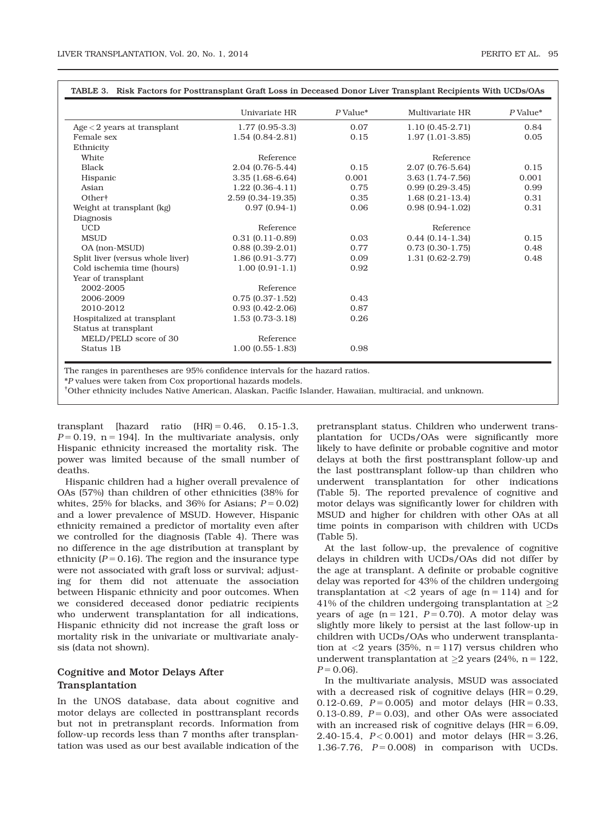|                                  | Univariate HR       | $P$ Value* | Multivariate HR      | $P$ Value* |
|----------------------------------|---------------------|------------|----------------------|------------|
| $Age < 2$ years at transplant    | $1.77(0.95-3.3)$    | 0.07       | $1.10(0.45-2.71)$    | 0.84       |
| Female sex                       | $1.54(0.84-2.81)$   | 0.15       | $1.97(1.01-3.85)$    | 0.05       |
| Ethnicity                        |                     |            |                      |            |
| White                            | Reference           |            | Reference            |            |
| <b>Black</b>                     | 2.04 (0.76-5.44)    | 0.15       | 2.07 (0.76-5.64)     | 0.15       |
| Hispanic                         | $3.35(1.68-6.64)$   | 0.001      | 3.63 (1.74-7.56)     | 0.001      |
| Asian                            | $1.22(0.36-4.11)$   | 0.75       | $0.99(0.29-3.45)$    | 0.99       |
| Other <sup>+</sup>               | 2.59 (0.34-19.35)   | 0.35       | $1.68(0.21-13.4)$    | 0.31       |
| Weight at transplant (kg)        | $0.97(0.94-1)$      | 0.06       | $0.98(0.94-1.02)$    | 0.31       |
| Diagnosis                        |                     |            |                      |            |
| <b>UCD</b>                       | Reference           |            | Reference            |            |
| <b>MSUD</b>                      | $0.31(0.11-0.89)$   | 0.03       | $0.44(0.14-1.34)$    | 0.15       |
| OA (non-MSUD)                    | $0.88(0.39-2.01)$   | 0.77       | $0.73$ $(0.30-1.75)$ | 0.48       |
| Split liver (versus whole liver) | $1.86(0.91-3.77)$   | 0.09       | $1.31(0.62 - 2.79)$  | 0.48       |
| Cold ischemia time (hours)       | $1.00(0.91-1.1)$    | 0.92       |                      |            |
| Year of transplant               |                     |            |                      |            |
| 2002-2005                        | Reference           |            |                      |            |
| 2006-2009                        | $0.75(0.37-1.52)$   | 0.43       |                      |            |
| 2010-2012                        | $0.93(0.42 - 2.06)$ | 0.87       |                      |            |
| Hospitalized at transplant       | $1.53(0.73-3.18)$   | 0.26       |                      |            |
| Status at transplant             |                     |            |                      |            |
| MELD/PELD score of 30            | Reference           |            |                      |            |
| Status 1B                        | $1.00(0.55-1.83)$   | 0.98       |                      |            |

The ranges in parentheses are 95% confidence intervals for the hazard ratios.

\*P values were taken from Cox proportional hazards models.

† Other ethnicity includes Native American, Alaskan, Pacific Islander, Hawaiian, multiracial, and unknown.

transplant [hazard ratio  $(HR) = 0.46$ , 0.15-1.3,  $P = 0.19$ , n = 194]. In the multivariate analysis, only Hispanic ethnicity increased the mortality risk. The power was limited because of the small number of deaths.

Hispanic children had a higher overall prevalence of OAs (57%) than children of other ethnicities (38% for whites,  $25\%$  for blacks, and  $36\%$  for Asians;  $P = 0.02$ ) and a lower prevalence of MSUD. However, Hispanic ethnicity remained a predictor of mortality even after we controlled for the diagnosis (Table 4). There was no difference in the age distribution at transplant by ethnicity ( $P = 0.16$ ). The region and the insurance type were not associated with graft loss or survival; adjusting for them did not attenuate the association between Hispanic ethnicity and poor outcomes. When we considered deceased donor pediatric recipients who underwent transplantation for all indications, Hispanic ethnicity did not increase the graft loss or mortality risk in the univariate or multivariate analysis (data not shown).

#### Cognitive and Motor Delays After Transplantation

In the UNOS database, data about cognitive and motor delays are collected in posttransplant records but not in pretransplant records. Information from follow-up records less than 7 months after transplantation was used as our best available indication of the pretransplant status. Children who underwent transplantation for UCDs/OAs were significantly more likely to have definite or probable cognitive and motor delays at both the first posttransplant follow-up and the last posttransplant follow-up than children who underwent transplantation for other indications (Table 5). The reported prevalence of cognitive and motor delays was significantly lower for children with MSUD and higher for children with other OAs at all time points in comparison with children with UCDs (Table 5).

At the last follow-up, the prevalence of cognitive delays in children with UCDs/OAs did not differ by the age at transplant. A definite or probable cognitive delay was reported for 43% of the children undergoing transplantation at  $\langle 2 \rangle$  years of age (n = 114) and for 41% of the children undergoing transplantation at  ${\geq}2$ years of age  $(n = 121, P = 0.70)$ . A motor delay was slightly more likely to persist at the last follow-up in children with UCDs/OAs who underwent transplantation at  $\langle 2 \rangle$  years (35%, n = 117) versus children who underwent transplantation at  $\geq$ 2 years (24%, n = 122,  $P = 0.06$ .

In the multivariate analysis, MSUD was associated with a decreased risk of cognitive delays  $(HR = 0.29,$ 0.12-0.69,  $P = 0.005$  and motor delays (HR = 0.33, 0.13-0.89,  $P = 0.03$ , and other OAs were associated with an increased risk of cognitive delays  $(HR = 6.09,$ 2.40-15.4,  $P < 0.001$  and motor delays (HR = 3.26, 1.36-7.76,  $P = 0.008$  in comparison with UCDs.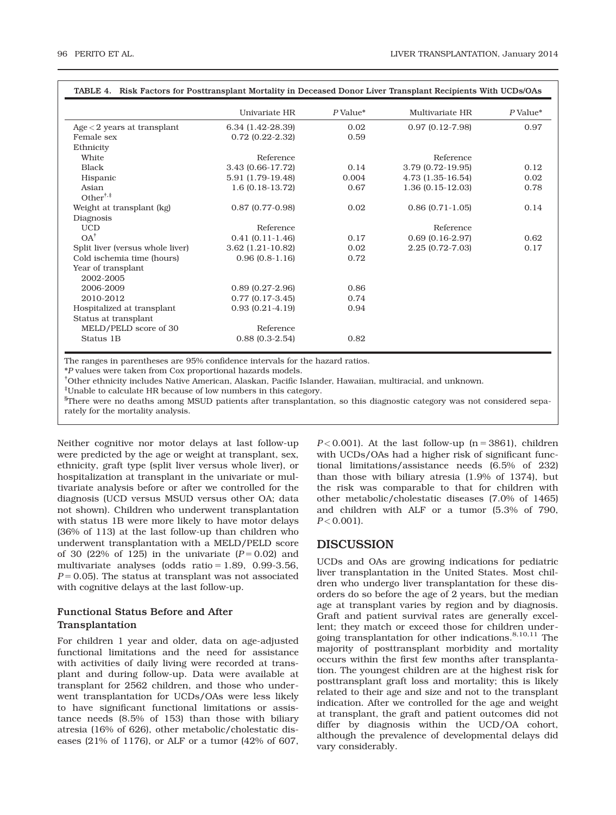|                                                             | Univariate HR       | P Value* | Multivariate HR     | P Value* |
|-------------------------------------------------------------|---------------------|----------|---------------------|----------|
| $Age < 2$ years at transplant                               | 6.34 (1.42-28.39)   | 0.02     | $0.97(0.12 - 7.98)$ | 0.97     |
| Female sex                                                  | $0.72$ (0.22-2.32)  | 0.59     |                     |          |
| Ethnicity                                                   |                     |          |                     |          |
| White                                                       | Reference           |          | Reference           |          |
| <b>Black</b>                                                | 3.43 (0.66-17.72)   | 0.14     | 3.79 (0.72-19.95)   | 0.12     |
| Hispanic                                                    | 5.91 (1.79-19.48)   | 0.004    | 4.73 (1.35-16.54)   | 0.02     |
| Asian                                                       | $1.6(0.18-13.72)$   | 0.67     | $1.36(0.15-12.03)$  | 0.78     |
| Other <sup><math>\dagger</math>,<math>\ddagger</math></sup> |                     |          |                     |          |
| Weight at transplant (kg)                                   | $0.87$ (0.77-0.98)  | 0.02     | $0.86(0.71-1.05)$   | 0.14     |
| Diagnosis                                                   |                     |          |                     |          |
| <b>UCD</b>                                                  | Reference           |          | Reference           |          |
| $OA^{\dagger}$                                              | $0.41(0.11-1.46)$   | 0.17     | $0.69(0.16-2.97)$   | 0.62     |
| Split liver (versus whole liver)                            | $3.62$ (1.21-10.82) | 0.02     | $2.25(0.72 - 7.03)$ | 0.17     |
| Cold ischemia time (hours)                                  | $0.96(0.8-1.16)$    | 0.72     |                     |          |
| Year of transplant<br>2002-2005                             |                     |          |                     |          |
| 2006-2009                                                   | $0.89(0.27-2.96)$   | 0.86     |                     |          |
| 2010-2012                                                   | $0.77(0.17-3.45)$   | 0.74     |                     |          |
| Hospitalized at transplant                                  | $0.93(0.21-4.19)$   | 0.94     |                     |          |
| Status at transplant                                        |                     |          |                     |          |
| MELD/PELD score of 30                                       | Reference           |          |                     |          |
| Status 1B                                                   | $0.88(0.3-2.54)$    | 0.82     |                     |          |

The ranges in parentheses are 95% confidence intervals for the hazard ratios.

\*P values were taken from Cox proportional hazards models.

† Other ethnicity includes Native American, Alaskan, Pacific Islander, Hawaiian, multiracial, and unknown.

‡ Unable to calculate HR because of low numbers in this category.

 ${}^{8}$ There were no deaths among MSUD patients after transplantation, so this diagnostic category was not considered separately for the mortality analysis.

Neither cognitive nor motor delays at last follow-up were predicted by the age or weight at transplant, sex, ethnicity, graft type (split liver versus whole liver), or hospitalization at transplant in the univariate or multivariate analysis before or after we controlled for the diagnosis (UCD versus MSUD versus other OA; data not shown). Children who underwent transplantation with status 1B were more likely to have motor delays (36% of 113) at the last follow-up than children who underwent transplantation with a MELD/PELD score of 30 (22% of 125) in the univariate  $(P = 0.02)$  and multivariate analyses (odds ratio  $= 1.89, 0.99-3.56,$  $P = 0.05$ ). The status at transplant was not associated with cognitive delays at the last follow-up.

### Functional Status Before and After Transplantation

For children 1 year and older, data on age-adjusted functional limitations and the need for assistance with activities of daily living were recorded at transplant and during follow-up. Data were available at transplant for 2562 children, and those who underwent transplantation for UCDs/OAs were less likely to have significant functional limitations or assistance needs (8.5% of 153) than those with biliary atresia (16% of 626), other metabolic/cholestatic diseases (21% of 1176), or ALF or a tumor (42% of 607,

 $P < 0.001$ ). At the last follow-up (n = 3861), children with UCDs/OAs had a higher risk of significant functional limitations/assistance needs (6.5% of 232) than those with biliary atresia (1.9% of 1374), but the risk was comparable to that for children with other metabolic/cholestatic diseases (7.0% of 1465) and children with ALF or a tumor (5.3% of 790,  $P < 0.001$ ).

# DISCUSSION

UCDs and OAs are growing indications for pediatric liver transplantation in the United States. Most children who undergo liver transplantation for these disorders do so before the age of 2 years, but the median age at transplant varies by region and by diagnosis. Graft and patient survival rates are generally excellent; they match or exceed those for children undergoing transplantation for other indications.  $^{8,10,11}$  The majority of posttransplant morbidity and mortality occurs within the first few months after transplantation. The youngest children are at the highest risk for posttransplant graft loss and mortality; this is likely related to their age and size and not to the transplant indication. After we controlled for the age and weight at transplant, the graft and patient outcomes did not differ by diagnosis within the UCD/OA cohort, although the prevalence of developmental delays did vary considerably.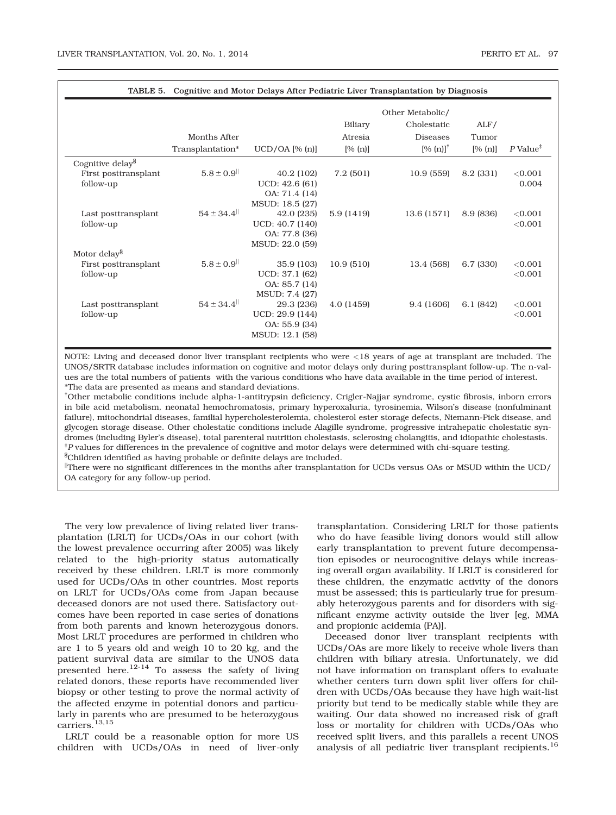| TABLE 5.<br>Cognitive and Motor Delays After Pediatric Liver Transplantation by Diagnosis |                                                 |                                                                                                                                                                                        |                                       |                                                                            |                                            |  |
|-------------------------------------------------------------------------------------------|-------------------------------------------------|----------------------------------------------------------------------------------------------------------------------------------------------------------------------------------------|---------------------------------------|----------------------------------------------------------------------------|--------------------------------------------|--|
|                                                                                           |                                                 | Biliary                                                                                                                                                                                | ALF/                                  |                                                                            |                                            |  |
| Months After                                                                              |                                                 | Atresia                                                                                                                                                                                | <b>Diseases</b>                       | Tumor                                                                      |                                            |  |
| Transplantation*                                                                          | $UCD/OA$ [% $[n]$ ]                             | [% (n)]                                                                                                                                                                                | $[% (n)]^{\dagger}$                   | [% (n)]                                                                    | $P$ Value <sup><math>\ddagger</math></sup> |  |
|                                                                                           |                                                 |                                                                                                                                                                                        |                                       |                                                                            |                                            |  |
| $5.8 \pm 0.9$                                                                             | 40.2 (102)                                      | 7.2(501)                                                                                                                                                                               | 10.9(559)                             | 8.2 (331)                                                                  | < 0.001                                    |  |
|                                                                                           | UCD: 42.6(61)                                   |                                                                                                                                                                                        |                                       |                                                                            | 0.004                                      |  |
|                                                                                           | OA: 71.4 (14)                                   |                                                                                                                                                                                        |                                       |                                                                            |                                            |  |
|                                                                                           | MSUD: 18.5 (27)                                 |                                                                                                                                                                                        |                                       |                                                                            |                                            |  |
|                                                                                           |                                                 |                                                                                                                                                                                        |                                       |                                                                            | < 0.001                                    |  |
|                                                                                           |                                                 |                                                                                                                                                                                        |                                       |                                                                            | < 0.001                                    |  |
|                                                                                           |                                                 |                                                                                                                                                                                        |                                       |                                                                            |                                            |  |
|                                                                                           |                                                 |                                                                                                                                                                                        |                                       |                                                                            |                                            |  |
|                                                                                           |                                                 |                                                                                                                                                                                        |                                       |                                                                            |                                            |  |
|                                                                                           |                                                 |                                                                                                                                                                                        |                                       |                                                                            | < 0.001                                    |  |
|                                                                                           |                                                 |                                                                                                                                                                                        |                                       |                                                                            | < 0.001                                    |  |
|                                                                                           |                                                 |                                                                                                                                                                                        |                                       |                                                                            |                                            |  |
|                                                                                           |                                                 |                                                                                                                                                                                        |                                       |                                                                            |                                            |  |
|                                                                                           |                                                 |                                                                                                                                                                                        |                                       |                                                                            | < 0.001                                    |  |
|                                                                                           |                                                 |                                                                                                                                                                                        |                                       |                                                                            | < 0.001                                    |  |
|                                                                                           | MSUD: 12.1 (58)                                 |                                                                                                                                                                                        |                                       |                                                                            |                                            |  |
|                                                                                           | $54 \pm 34.4$<br>$5.8 \pm 0.9$<br>$54 \pm 34.4$ | 42.0 (235)<br>UCD: 40.7 (140)<br>OA: 77.8 (36)<br>MSUD: 22.0 (59)<br>35.9 (103)<br>UCD: 37.1 (62)<br>OA: 85.7 (14)<br>MSUD: 7.4 (27)<br>29.3 (236)<br>UCD: 29.9 (144)<br>OA: 55.9 (34) | 5.9 (1419)<br>10.9(510)<br>4.0 (1459) | Other Metabolic/<br>Cholestatic<br>13.6 (1571)<br>13.4 (568)<br>9.4 (1606) | 8.9 (836)<br>6.7 (330)<br>6.1(842)         |  |

NOTE: Living and deceased donor liver transplant recipients who were <18 years of age at transplant are included. The UNOS/SRTR database includes information on cognitive and motor delays only during posttransplant follow-up. The n-values are the total numbers of patients with the various conditions who have data available in the time period of interest. \*The data are presented as means and standard deviations.

† Other metabolic conditions include alpha-1-antitrypsin deficiency, Crigler-Najjar syndrome, cystic fibrosis, inborn errors in bile acid metabolism, neonatal hemochromatosis, primary hyperoxaluria, tyrosinemia, Wilson's disease (nonfulminant failure), mitochondrial diseases, familial hypercholesterolemia, cholesterol ester storage defects, Niemann-Pick disease, and glycogen storage disease. Other cholestatic conditions include Alagille syndrome, progressive intrahepatic cholestatic syndromes (including Byler's disease), total parenteral nutrition cholestasis, sclerosing cholangitis, and idiopathic cholestasis. ‡ P values for differences in the prevalence of cognitive and motor delays were determined with chi-square testing.  $^{\rm 8}$ Children identified as having probable or definite delays are included.

 $\mathbb{P}$ There were no significant differences in the months after transplantation for UCDs versus OAs or MSUD within the UCD/ OA category for any follow-up period.

The very low prevalence of living related liver transplantation (LRLT) for UCDs/OAs in our cohort (with the lowest prevalence occurring after 2005) was likely related to the high-priority status automatically received by these children. LRLT is more commonly used for UCDs/OAs in other countries. Most reports on LRLT for UCDs/OAs come from Japan because deceased donors are not used there. Satisfactory outcomes have been reported in case series of donations from both parents and known heterozygous donors. Most LRLT procedures are performed in children who are 1 to 5 years old and weigh 10 to 20 kg, and the patient survival data are similar to the UNOS data presented here.<sup>12-14</sup> To assess the safety of living related donors, these reports have recommended liver biopsy or other testing to prove the normal activity of the affected enzyme in potential donors and particularly in parents who are presumed to be heterozygous carriers.13,15

LRLT could be a reasonable option for more US children with UCDs/OAs in need of liver-only

transplantation. Considering LRLT for those patients who do have feasible living donors would still allow early transplantation to prevent future decompensation episodes or neurocognitive delays while increasing overall organ availability. If LRLT is considered for these children, the enzymatic activity of the donors must be assessed; this is particularly true for presumably heterozygous parents and for disorders with significant enzyme activity outside the liver [eg, MMA and propionic acidemia (PA)].

Deceased donor liver transplant recipients with UCDs/OAs are more likely to receive whole livers than children with biliary atresia. Unfortunately, we did not have information on transplant offers to evaluate whether centers turn down split liver offers for children with UCDs/OAs because they have high wait-list priority but tend to be medically stable while they are waiting. Our data showed no increased risk of graft loss or mortality for children with UCDs/OAs who received split livers, and this parallels a recent UNOS analysis of all pediatric liver transplant recipients.<sup>16</sup>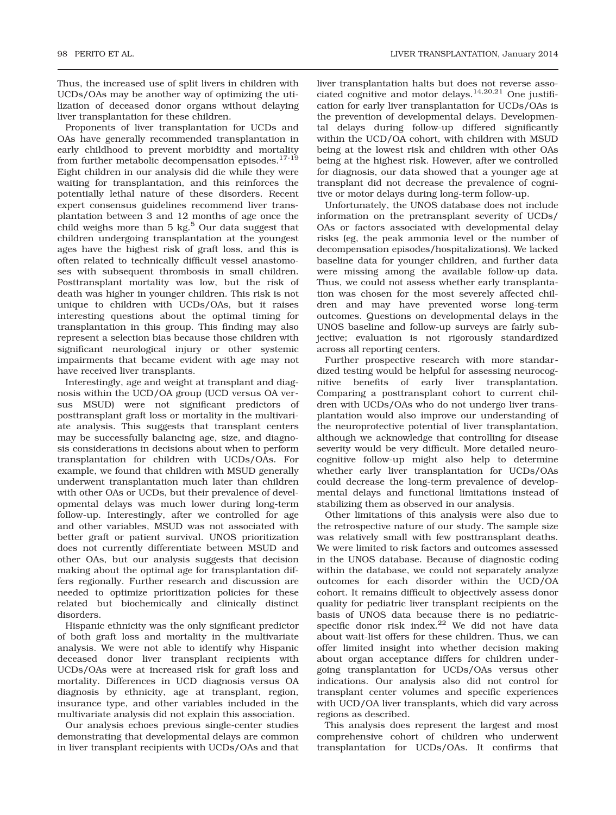Thus, the increased use of split livers in children with UCDs/OAs may be another way of optimizing the utilization of deceased donor organs without delaying liver transplantation for these children.

Proponents of liver transplantation for UCDs and OAs have generally recommended transplantation in early childhood to prevent morbidity and mortality from further metabolic decompensation episodes.<sup>17-19</sup> Eight children in our analysis did die while they were waiting for transplantation, and this reinforces the potentially lethal nature of these disorders. Recent expert consensus guidelines recommend liver transplantation between 3 and 12 months of age once the child weighs more than  $5 \text{ kg}$ <sup>5</sup> Our data suggest that children undergoing transplantation at the youngest ages have the highest risk of graft loss, and this is often related to technically difficult vessel anastomoses with subsequent thrombosis in small children. Posttransplant mortality was low, but the risk of death was higher in younger children. This risk is not unique to children with UCDs/OAs, but it raises interesting questions about the optimal timing for transplantation in this group. This finding may also represent a selection bias because those children with significant neurological injury or other systemic impairments that became evident with age may not have received liver transplants.

Interestingly, age and weight at transplant and diagnosis within the UCD/OA group (UCD versus OA versus MSUD) were not significant predictors of posttransplant graft loss or mortality in the multivariate analysis. This suggests that transplant centers may be successfully balancing age, size, and diagnosis considerations in decisions about when to perform transplantation for children with UCDs/OAs. For example, we found that children with MSUD generally underwent transplantation much later than children with other OAs or UCDs, but their prevalence of developmental delays was much lower during long-term follow-up. Interestingly, after we controlled for age and other variables, MSUD was not associated with better graft or patient survival. UNOS prioritization does not currently differentiate between MSUD and other OAs, but our analysis suggests that decision making about the optimal age for transplantation differs regionally. Further research and discussion are needed to optimize prioritization policies for these related but biochemically and clinically distinct disorders.

Hispanic ethnicity was the only significant predictor of both graft loss and mortality in the multivariate analysis. We were not able to identify why Hispanic deceased donor liver transplant recipients with UCDs/OAs were at increased risk for graft loss and mortality. Differences in UCD diagnosis versus OA diagnosis by ethnicity, age at transplant, region, insurance type, and other variables included in the multivariate analysis did not explain this association.

Our analysis echoes previous single-center studies demonstrating that developmental delays are common in liver transplant recipients with UCDs/OAs and that

liver transplantation halts but does not reverse associated cognitive and motor delays.<sup>14,20,21</sup> One justification for early liver transplantation for UCDs/OAs is the prevention of developmental delays. Developmental delays during follow-up differed significantly within the UCD/OA cohort, with children with MSUD being at the lowest risk and children with other OAs being at the highest risk. However, after we controlled for diagnosis, our data showed that a younger age at transplant did not decrease the prevalence of cognitive or motor delays during long-term follow-up.

Unfortunately, the UNOS database does not include information on the pretransplant severity of UCDs/ OAs or factors associated with developmental delay risks (eg, the peak ammonia level or the number of decompensation episodes/hospitalizations). We lacked baseline data for younger children, and further data were missing among the available follow-up data. Thus, we could not assess whether early transplantation was chosen for the most severely affected children and may have prevented worse long-term outcomes. Questions on developmental delays in the UNOS baseline and follow-up surveys are fairly subjective; evaluation is not rigorously standardized across all reporting centers.

Further prospective research with more standardized testing would be helpful for assessing neurocognitive benefits of early liver transplantation. Comparing a posttransplant cohort to current children with UCDs/OAs who do not undergo liver transplantation would also improve our understanding of the neuroprotective potential of liver transplantation, although we acknowledge that controlling for disease severity would be very difficult. More detailed neurocognitive follow-up might also help to determine whether early liver transplantation for UCDs/OAs could decrease the long-term prevalence of developmental delays and functional limitations instead of stabilizing them as observed in our analysis.

Other limitations of this analysis were also due to the retrospective nature of our study. The sample size was relatively small with few posttransplant deaths. We were limited to risk factors and outcomes assessed in the UNOS database. Because of diagnostic coding within the database, we could not separately analyze outcomes for each disorder within the UCD/OA cohort. It remains difficult to objectively assess donor quality for pediatric liver transplant recipients on the basis of UNOS data because there is no pediatricspecific donor risk index.<sup>22</sup> We did not have data about wait-list offers for these children. Thus, we can offer limited insight into whether decision making about organ acceptance differs for children undergoing transplantation for UCDs/OAs versus other indications. Our analysis also did not control for transplant center volumes and specific experiences with UCD/OA liver transplants, which did vary across regions as described.

This analysis does represent the largest and most comprehensive cohort of children who underwent transplantation for UCDs/OAs. It confirms that